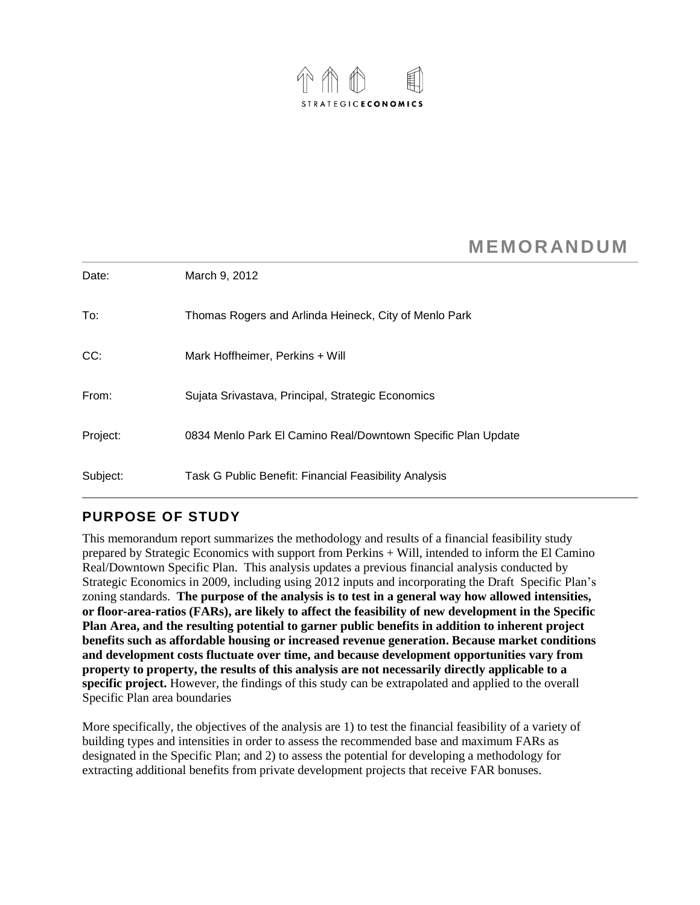

# **MEMORANDUM**

| Date:    | March 9, 2012                                                |
|----------|--------------------------------------------------------------|
| To:      | Thomas Rogers and Arlinda Heineck, City of Menlo Park        |
| CC:      | Mark Hoffheimer, Perkins + Will                              |
| From:    | Sujata Srivastava, Principal, Strategic Economics            |
| Project: | 0834 Menlo Park El Camino Real/Downtown Specific Plan Update |
| Subject: | Task G Public Benefit: Financial Feasibility Analysis        |

## **PURPOSE OF STUDY**

This memorandum report summarizes the methodology and results of a financial feasibility study prepared by Strategic Economics with support from Perkins + Will, intended to inform the El Camino Real/Downtown Specific Plan. This analysis updates a previous financial analysis conducted by Strategic Economics in 2009, including using 2012 inputs and incorporating the Draft Specific Plan's zoning standards. **The purpose of the analysis is to test in a general way how allowed intensities, or floor-area-ratios (FARs), are likely to affect the feasibility of new development in the Specific Plan Area, and the resulting potential to garner public benefits in addition to inherent project benefits such as affordable housing or increased revenue generation. Because market conditions and development costs fluctuate over time, and because development opportunities vary from property to property, the results of this analysis are not necessarily directly applicable to a specific project.** However, the findings of this study can be extrapolated and applied to the overall Specific Plan area boundaries

More specifically, the objectives of the analysis are 1) to test the financial feasibility of a variety of building types and intensities in order to assess the recommended base and maximum FARs as designated in the Specific Plan; and 2) to assess the potential for developing a methodology for extracting additional benefits from private development projects that receive FAR bonuses.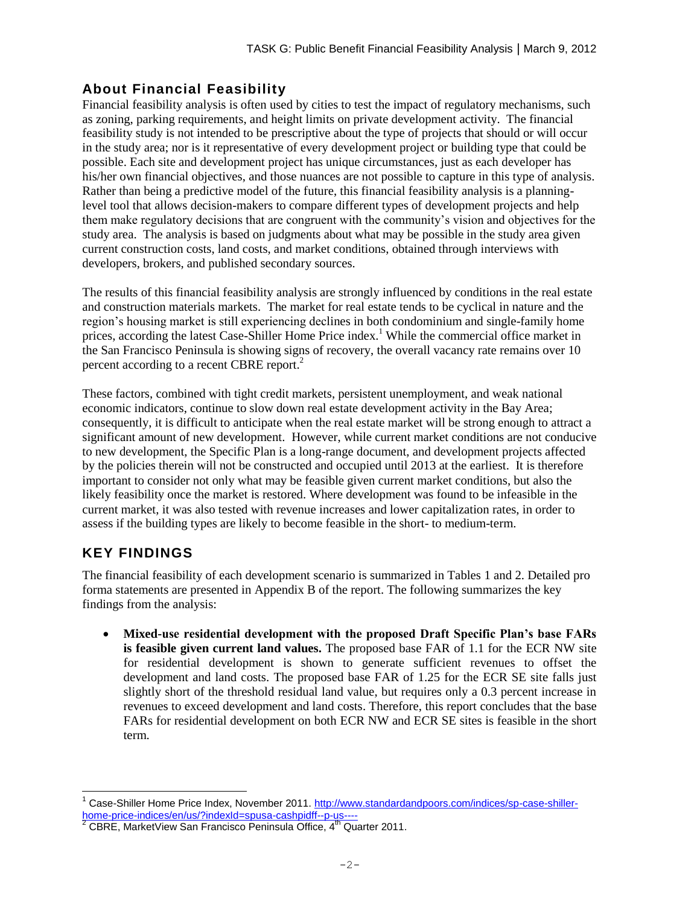## **About Financial Feasibility**

Financial feasibility analysis is often used by cities to test the impact of regulatory mechanisms, such as zoning, parking requirements, and height limits on private development activity. The financial feasibility study is not intended to be prescriptive about the type of projects that should or will occur in the study area; nor is it representative of every development project or building type that could be possible. Each site and development project has unique circumstances, just as each developer has his/her own financial objectives, and those nuances are not possible to capture in this type of analysis. Rather than being a predictive model of the future, this financial feasibility analysis is a planninglevel tool that allows decision-makers to compare different types of development projects and help them make regulatory decisions that are congruent with the community's vision and objectives for the study area. The analysis is based on judgments about what may be possible in the study area given current construction costs, land costs, and market conditions, obtained through interviews with developers, brokers, and published secondary sources.

The results of this financial feasibility analysis are strongly influenced by conditions in the real estate and construction materials markets. The market for real estate tends to be cyclical in nature and the region's housing market is still experiencing declines in both condominium and single-family home prices, according the latest Case-Shiller Home Price index.<sup>1</sup> While the commercial office market in the San Francisco Peninsula is showing signs of recovery, the overall vacancy rate remains over 10 percent according to a recent CBRE report.<sup>2</sup>

These factors, combined with tight credit markets, persistent unemployment, and weak national economic indicators, continue to slow down real estate development activity in the Bay Area; consequently, it is difficult to anticipate when the real estate market will be strong enough to attract a significant amount of new development. However, while current market conditions are not conducive to new development, the Specific Plan is a long-range document, and development projects affected by the policies therein will not be constructed and occupied until 2013 at the earliest. It is therefore important to consider not only what may be feasible given current market conditions, but also the likely feasibility once the market is restored. Where development was found to be infeasible in the current market, it was also tested with revenue increases and lower capitalization rates, in order to assess if the building types are likely to become feasible in the short- to medium-term.

# **KEY FINDINGS**

The financial feasibility of each development scenario is summarized in Tables 1 and 2. Detailed pro forma statements are presented in Appendix B of the report. The following summarizes the key findings from the analysis:

 **Mixed-use residential development with the proposed Draft Specific Plan's base FARs is feasible given current land values.** The proposed base FAR of 1.1 for the ECR NW site for residential development is shown to generate sufficient revenues to offset the development and land costs. The proposed base FAR of 1.25 for the ECR SE site falls just slightly short of the threshold residual land value, but requires only a 0.3 percent increase in revenues to exceed development and land costs. Therefore, this report concludes that the base FARs for residential development on both ECR NW and ECR SE sites is feasible in the short term.

 $\overline{a}$ <sup>1</sup> Case-Shiller Home Price Index, November 2011. [http://www.standardandpoors.com/indices/sp-case-shiller](http://www.standardandpoors.com/indices/sp-case-shiller-home-price-indices/en/us/?indexId=spusa-cashpidff--p-us----)[home-price-indices/en/us/?indexId=spusa-cashpidff--p-us----](http://www.standardandpoors.com/indices/sp-case-shiller-home-price-indices/en/us/?indexId=spusa-cashpidff--p-us----)

 $2$  CBRE, MarketView San Francisco Peninsula Office,  $4^{\text{th}}$  Quarter 2011.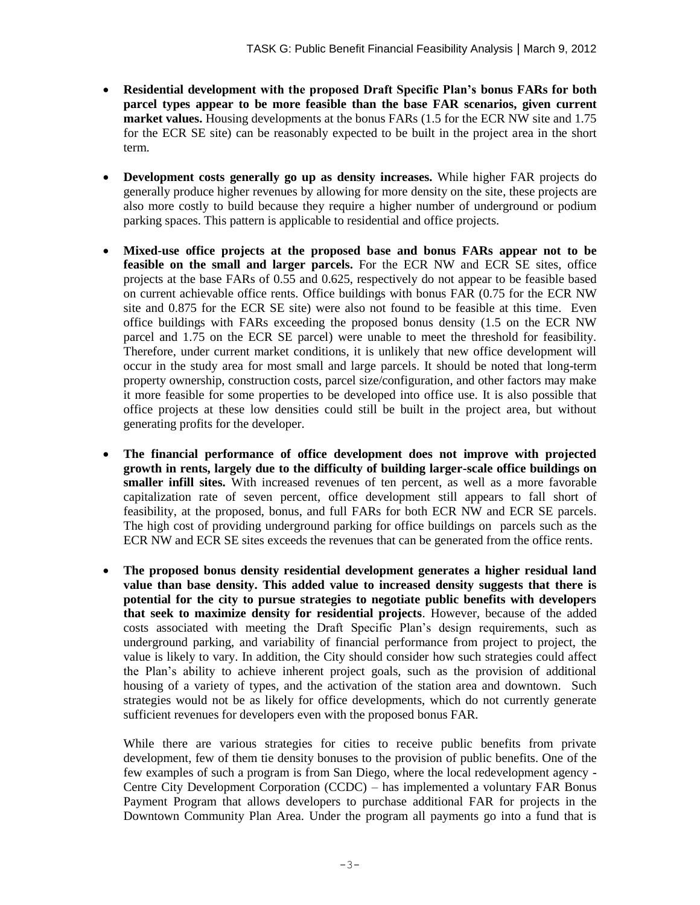- **Residential development with the proposed Draft Specific Plan's bonus FARs for both parcel types appear to be more feasible than the base FAR scenarios, given current market values.** Housing developments at the bonus FARs (1.5 for the ECR NW site and 1.75 for the ECR SE site) can be reasonably expected to be built in the project area in the short term.
- **Development costs generally go up as density increases.** While higher FAR projects do generally produce higher revenues by allowing for more density on the site, these projects are also more costly to build because they require a higher number of underground or podium parking spaces. This pattern is applicable to residential and office projects.
- **Mixed-use office projects at the proposed base and bonus FARs appear not to be feasible on the small and larger parcels.** For the ECR NW and ECR SE sites, office projects at the base FARs of 0.55 and 0.625, respectively do not appear to be feasible based on current achievable office rents. Office buildings with bonus FAR (0.75 for the ECR NW site and 0.875 for the ECR SE site) were also not found to be feasible at this time. Even office buildings with FARs exceeding the proposed bonus density (1.5 on the ECR NW parcel and 1.75 on the ECR SE parcel) were unable to meet the threshold for feasibility. Therefore, under current market conditions, it is unlikely that new office development will occur in the study area for most small and large parcels. It should be noted that long-term property ownership, construction costs, parcel size/configuration, and other factors may make it more feasible for some properties to be developed into office use. It is also possible that office projects at these low densities could still be built in the project area, but without generating profits for the developer.
- **The financial performance of office development does not improve with projected growth in rents, largely due to the difficulty of building larger-scale office buildings on smaller infill sites.** With increased revenues of ten percent, as well as a more favorable capitalization rate of seven percent, office development still appears to fall short of feasibility, at the proposed, bonus, and full FARs for both ECR NW and ECR SE parcels. The high cost of providing underground parking for office buildings on parcels such as the ECR NW and ECR SE sites exceeds the revenues that can be generated from the office rents.
- **The proposed bonus density residential development generates a higher residual land value than base density. This added value to increased density suggests that there is potential for the city to pursue strategies to negotiate public benefits with developers that seek to maximize density for residential projects**. However, because of the added costs associated with meeting the Draft Specific Plan's design requirements, such as underground parking, and variability of financial performance from project to project, the value is likely to vary. In addition, the City should consider how such strategies could affect the Plan's ability to achieve inherent project goals, such as the provision of additional housing of a variety of types, and the activation of the station area and downtown. Such strategies would not be as likely for office developments, which do not currently generate sufficient revenues for developers even with the proposed bonus FAR.

While there are various strategies for cities to receive public benefits from private development, few of them tie density bonuses to the provision of public benefits. One of the few examples of such a program is from San Diego, where the local redevelopment agency - Centre City Development Corporation (CCDC) – has implemented a voluntary FAR Bonus Payment Program that allows developers to purchase additional FAR for projects in the Downtown Community Plan Area. Under the program all payments go into a fund that is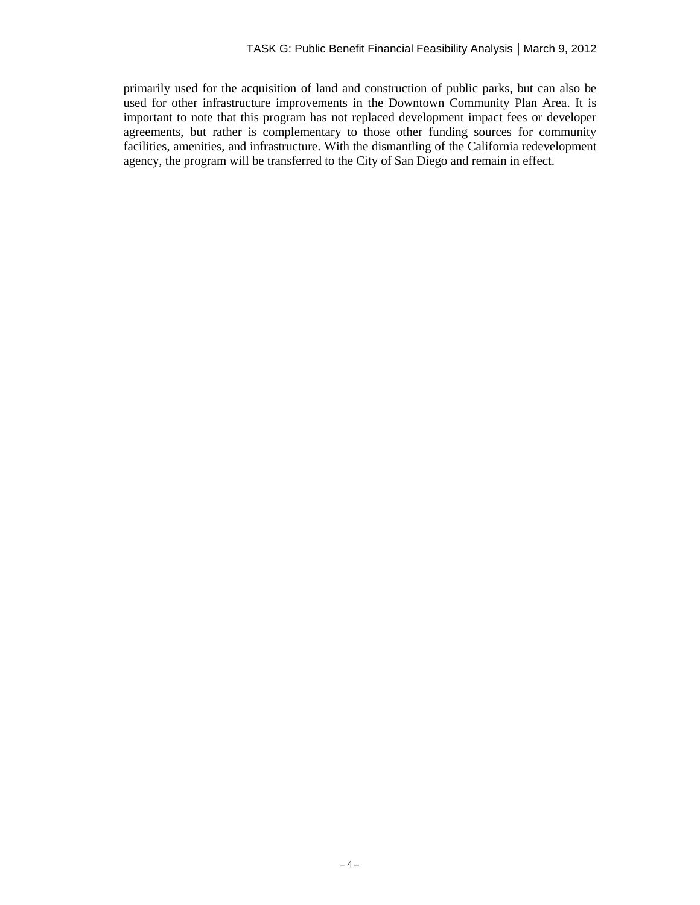primarily used for the acquisition of land and construction of public parks, but can also be used for other infrastructure improvements in the Downtown Community Plan Area. It is important to note that this program has not replaced development impact fees or developer agreements, but rather is complementary to those other funding sources for community facilities, amenities, and infrastructure. With the dismantling of the California redevelopment agency, the program will be transferred to the City of San Diego and remain in effect.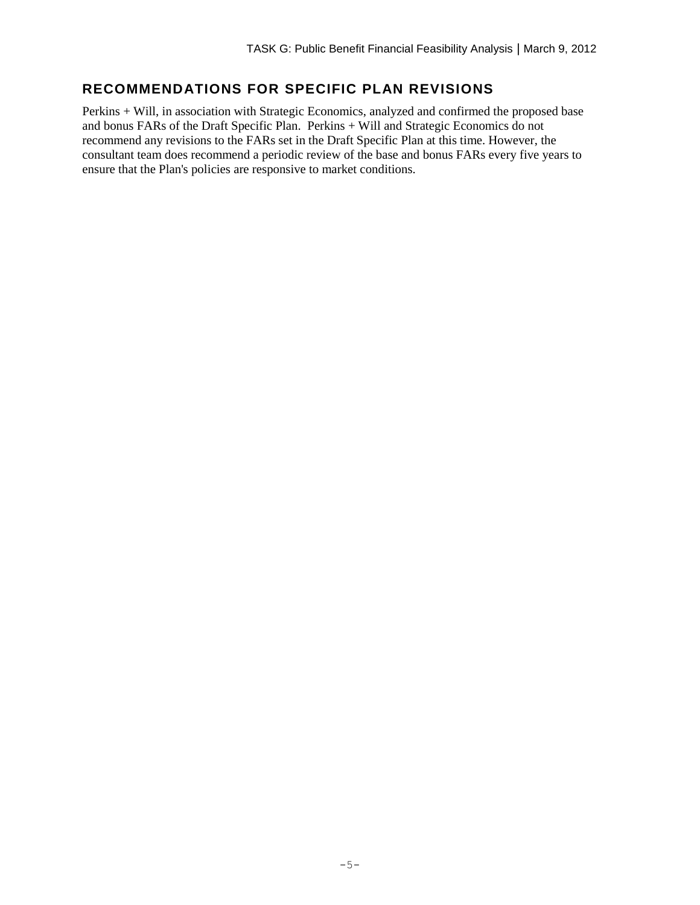# **RECOMMENDATIONS FOR SPECIFIC PLAN REVISIONS**

Perkins + Will, in association with Strategic Economics, analyzed and confirmed the proposed base and bonus FARs of the Draft Specific Plan. Perkins + Will and Strategic Economics do not recommend any revisions to the FARs set in the Draft Specific Plan at this time. However, the consultant team does recommend a periodic review of the base and bonus FARs every five years to ensure that the Plan's policies are responsive to market conditions.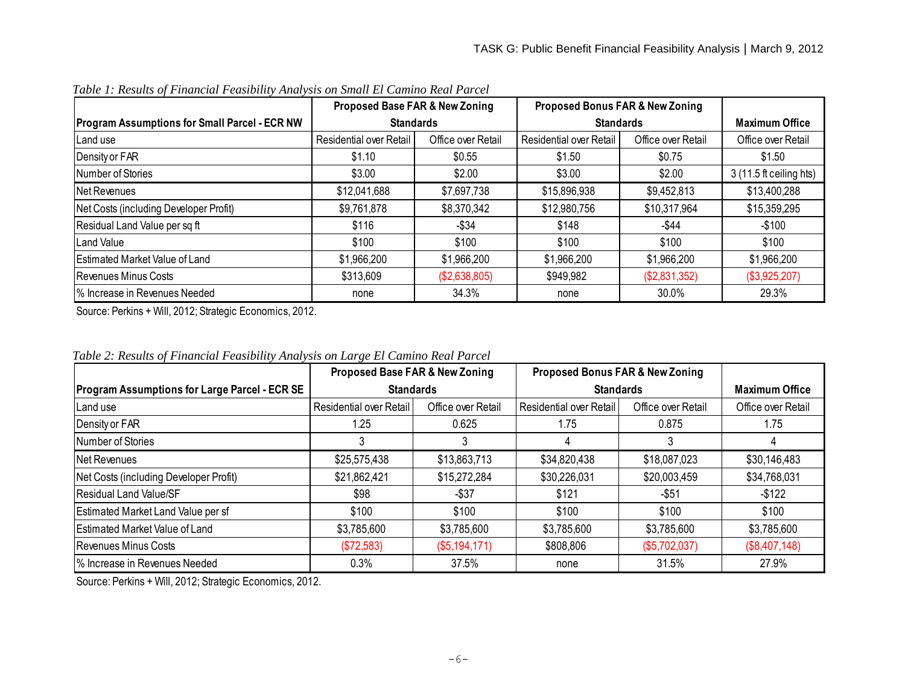|                                                      | Proposed Base FAR & New Zoning |                    | <b>Proposed Bonus FAR &amp; New Zoning</b> |                    |                         |
|------------------------------------------------------|--------------------------------|--------------------|--------------------------------------------|--------------------|-------------------------|
| <b>Program Assumptions for Small Parcel - ECR NW</b> | <b>Standards</b>               |                    | <b>Standards</b>                           |                    | <b>Maximum Office</b>   |
| Land use                                             | <b>Residential over Retail</b> | Office over Retail | <b>Residential over Retail</b>             | Office over Retail | Office over Retail      |
| Density or FAR                                       | \$1.10                         | \$0.55             | \$1.50                                     | \$0.75             | \$1.50                  |
| Number of Stories                                    | \$3.00                         | \$2.00             | \$3.00                                     | \$2.00             | 3 (11.5 ft ceiling hts) |
| Net Revenues                                         | \$12,041,688                   | \$7,697,738        | \$15,896,938                               | \$9,452,813        | \$13,400,288            |
| Net Costs (including Developer Profit)               | \$9,761,878                    | \$8,370,342        | \$12,980,756                               | \$10,317,964       | \$15,359,295            |
| Residual Land Value per sq ft                        | \$116                          | -\$34              | \$148                                      | -\$44              | -\$100                  |
| <b>Land Value</b>                                    | \$100                          | \$100              | \$100                                      | \$100              | \$100                   |
| <b>Estimated Market Value of Land</b>                | \$1,966,200                    | \$1,966,200        | \$1,966,200                                | \$1,966,200        | \$1,966,200             |
| <b>Revenues Minus Costs</b>                          | \$313,609                      | (\$2,638,805)      | \$949,982                                  | (\$2,831,352)      | (\$3,925,207)           |
| % Increase in Revenues Needed                        | none                           | 34.3%              | none                                       | 30.0%              | 29.3%                   |

*Table 1: Results of Financial Feasibility Analysis on Small El Camino Real Parcel*

Source: Perkins + Will, 2012; Strategic Economics, 2012.

|                                                      | Proposed Base FAR & New Zoning |                    | <b>Proposed Bonus FAR &amp; New Zoning</b> |                    |                       |
|------------------------------------------------------|--------------------------------|--------------------|--------------------------------------------|--------------------|-----------------------|
| <b>Program Assumptions for Large Parcel - ECR SE</b> | <b>Standards</b>               |                    | <b>Standards</b>                           |                    | <b>Maximum Office</b> |
| Land use                                             | Residential over Retail        | Office over Retail | Residential over Retail                    | Office over Retail | Office over Retail    |
| Density or FAR                                       | 1.25                           | 0.625              | 1.75                                       | 0.875              | 1.75                  |
| Number of Stories                                    |                                |                    |                                            |                    |                       |
| Net Revenues                                         | \$25,575,438                   | \$13,863,713       | \$34,820,438                               | \$18,087,023       | \$30,146,483          |
| Net Costs (including Developer Profit)               | \$21,862,421                   | \$15,272,284       | \$30,226,031                               | \$20,003,459       | \$34,768,031          |
| <b>Residual Land Value/SF</b>                        | \$98                           | $-$ \$37           | \$121                                      | $-$ \$51           | $-$ \$122             |
| Estimated Market Land Value per sf                   | \$100                          | \$100              | \$100                                      | \$100              | \$100                 |
| <b>Estimated Market Value of Land</b>                | \$3,785,600                    | \$3,785,600        | \$3,785,600                                | \$3,785,600        | \$3,785,600           |
| <b>Revenues Minus Costs</b>                          | (\$72,583)                     | (\$5,194,171)      | \$808,806                                  | (\$5,702,037)      | (\$8,407,148)         |
| % Increase in Revenues Needed                        | 0.3%                           | 37.5%              | none                                       | 31.5%              | 27.9%                 |

*Table 2: Results of Financial Feasibility Analysis on Large El Camino Real Parcel*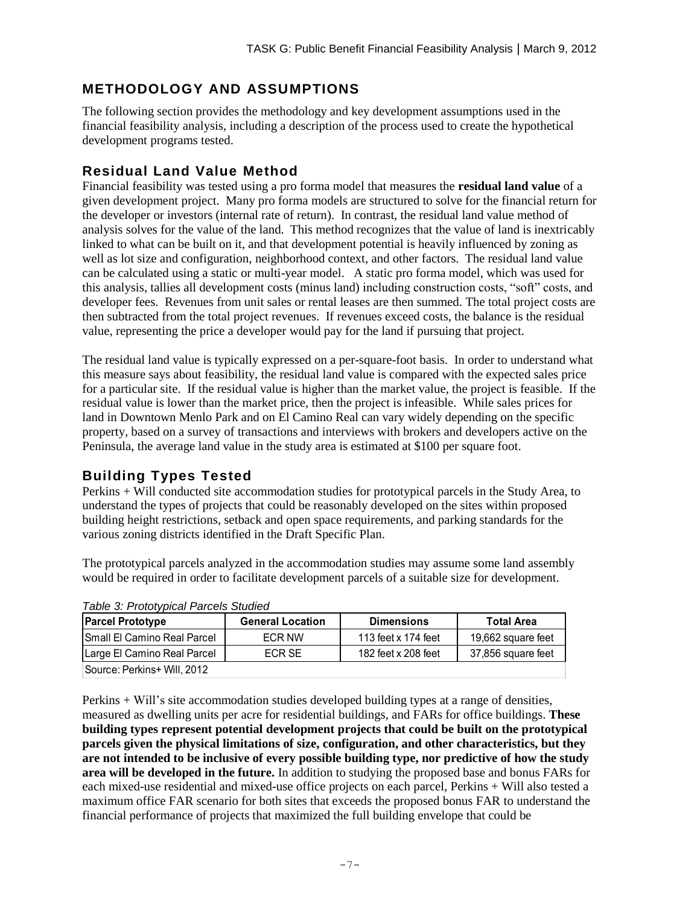# **METHODOLOGY AND ASSUMPTIONS**

The following section provides the methodology and key development assumptions used in the financial feasibility analysis, including a description of the process used to create the hypothetical development programs tested.

## **Residual Land Value Method**

Financial feasibility was tested using a pro forma model that measures the **residual land value** of a given development project. Many pro forma models are structured to solve for the financial return for the developer or investors (internal rate of return). In contrast, the residual land value method of analysis solves for the value of the land. This method recognizes that the value of land is inextricably linked to what can be built on it, and that development potential is heavily influenced by zoning as well as lot size and configuration, neighborhood context, and other factors. The residual land value can be calculated using a static or multi-year model. A static pro forma model, which was used for this analysis, tallies all development costs (minus land) including construction costs, "soft" costs, and developer fees. Revenues from unit sales or rental leases are then summed. The total project costs are then subtracted from the total project revenues. If revenues exceed costs, the balance is the residual value, representing the price a developer would pay for the land if pursuing that project.

The residual land value is typically expressed on a per-square-foot basis. In order to understand what this measure says about feasibility, the residual land value is compared with the expected sales price for a particular site. If the residual value is higher than the market value, the project is feasible. If the residual value is lower than the market price, then the project is infeasible. While sales prices for land in Downtown Menlo Park and on El Camino Real can vary widely depending on the specific property, based on a survey of transactions and interviews with brokers and developers active on the Peninsula, the average land value in the study area is estimated at \$100 per square foot.

## **Building Types Tested**

Perkins + Will conducted site accommodation studies for prototypical parcels in the Study Area, to understand the types of projects that could be reasonably developed on the sites within proposed building height restrictions, setback and open space requirements, and parking standards for the various zoning districts identified in the Draft Specific Plan.

The prototypical parcels analyzed in the accommodation studies may assume some land assembly would be required in order to facilitate development parcels of a suitable size for development.

| <b>Parcel Prototype</b>             | <b>General Location</b> | <b>Dimensions</b>   | <b>Total Area</b>  |  |
|-------------------------------------|-------------------------|---------------------|--------------------|--|
| <b>ISmall El Camino Real Parcel</b> | ECR NW                  | 113 feet x 174 feet | 19,662 square feet |  |
| Large El Camino Real Parcel         | ECR SE                  | 182 feet x 208 feet | 37,856 square feet |  |
| Source: Perkins+ Will, 2012         |                         |                     |                    |  |

*Table 3: Prototypical Parcels Studied*

Perkins + Will's site accommodation studies developed building types at a range of densities, measured as dwelling units per acre for residential buildings, and FARs for office buildings. **These building types represent potential development projects that could be built on the prototypical parcels given the physical limitations of size, configuration, and other characteristics, but they are not intended to be inclusive of every possible building type, nor predictive of how the study area will be developed in the future.** In addition to studying the proposed base and bonus FARs for each mixed-use residential and mixed-use office projects on each parcel, Perkins + Will also tested a maximum office FAR scenario for both sites that exceeds the proposed bonus FAR to understand the financial performance of projects that maximized the full building envelope that could be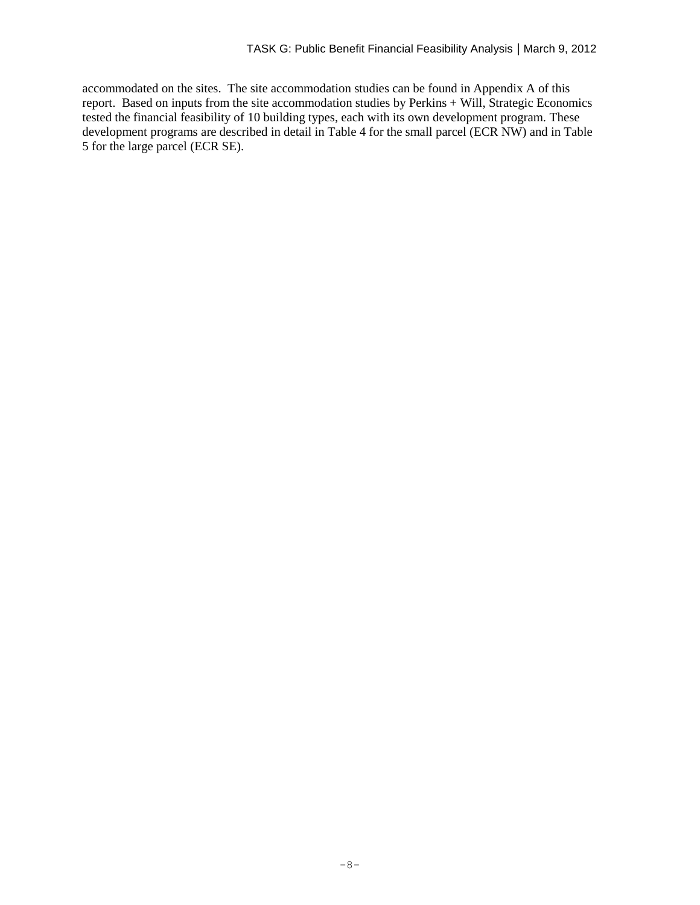accommodated on the sites. The site accommodation studies can be found in Appendix A of this report. Based on inputs from the site accommodation studies by Perkins + Will, Strategic Economics tested the financial feasibility of 10 building types, each with its own development program. These development programs are described in detail in Table 4 for the small parcel (ECR NW) and in Table 5 for the large parcel (ECR SE).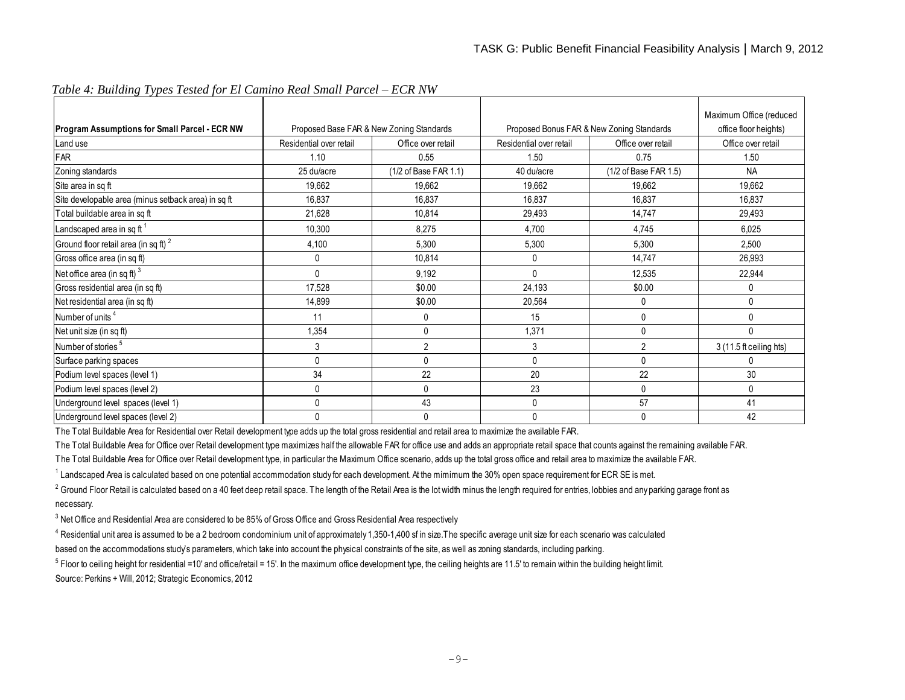| Program Assumptions for Small Parcel - ECR NW       | Proposed Base FAR & New Zoning Standards |                       | Proposed Bonus FAR & New Zoning Standards |                       | Maximum Office (reduced<br>office floor heights) |
|-----------------------------------------------------|------------------------------------------|-----------------------|-------------------------------------------|-----------------------|--------------------------------------------------|
| Land use                                            | Residential over retail                  | Office over retail    | Residential over retail                   | Office over retail    | Office over retail                               |
| FAR                                                 | 1.10                                     | 0.55                  | 1.50                                      | 0.75                  | 1.50                                             |
| Zoning standards                                    | 25 du/acre                               | (1/2 of Base FAR 1.1) | 40 du/acre                                | (1/2 of Base FAR 1.5) | <b>NA</b>                                        |
| Site area in sq ft                                  | 19,662                                   | 19,662                | 19,662                                    | 19,662                | 19,662                                           |
| Site developable area (minus setback area) in sq ft | 16,837                                   | 16,837                | 16,837                                    | 16,837                | 16,837                                           |
| Total buildable area in sq ft                       | 21,628                                   | 10,814                | 29,493                                    | 14,747                | 29,493                                           |
| Landscaped area in sq ft <sup>1</sup>               | 10,300                                   | 8,275                 | 4,700                                     | 4.745                 | 6,025                                            |
| Ground floor retail area (in sq ft) <sup>2</sup>    | 4,100                                    | 5,300                 | 5,300                                     | 5,300                 | 2,500                                            |
| Gross office area (in sq ft)                        | 0                                        | 10,814                | 0                                         | 14,747                | 26,993                                           |
| Net office area (in sq ft) $3$                      | 0                                        | 9,192                 | $\Omega$                                  | 12,535                | 22,944                                           |
| Gross residential area (in sq ft)                   | 17,528                                   | \$0.00                | 24,193                                    | \$0.00                | 0                                                |
| Net residential area (in sq ft)                     | 14,899                                   | \$0.00                | 20,564                                    | 0                     | $\mathbf{0}$                                     |
| Number of units <sup>4</sup>                        | 11                                       | 0                     | 15                                        | $\mathbf{0}$          | 0                                                |
| Net unit size (in sq ft)                            | 1,354                                    | $\Omega$              | 1,371                                     | $\Omega$              | $\Omega$                                         |
| Number of stories <sup>5</sup>                      | 3                                        |                       | 3                                         | $\overline{2}$        | 3 (11.5 ft ceiling hts)                          |
| Surface parking spaces                              | 0                                        | $\mathbf{0}$          | 0                                         | 0                     | 0                                                |
| Podium level spaces (level 1)                       | 34                                       | 22                    | 20                                        | 22                    | 30                                               |
| Podium level spaces (level 2)                       | 0                                        | U                     | 23                                        | 0                     | 0                                                |
| Underground level spaces (level 1)                  | 0                                        | 43                    | 0                                         | 57                    | 41                                               |
| Underground level spaces (level 2)                  | 0                                        | $\Omega$              | 0                                         | $\Omega$              | 42                                               |

*Table 4: Building Types Tested for El Camino Real Small Parcel – ECR NW*

The Total Buildable Area for Residential over Retail development type adds up the total gross residential and retail area to maximize the available FAR.

The Total Buildable Area for Office over Retail development type maximizes half the allowable FAR for office use and adds an appropriate retail space that counts against the remaining available FAR.

The Total Buildable Area for Office over Retail development type, in particular the Maximum Office scenario, adds up the total gross office and retail area to maximize the available FAR.

<sup>1</sup> Landscaped Area is calculated based on one potential accommodation study for each development. At the mimimum the 30% open space requirement for ECR SE is met.

 $^2$  Ground Floor Retail is calculated based on a 40 feet deep retail space. The length of the Retail Area is the lot width minus the length required for entries, lobbies and any parking garage front as necessary.

 $^3$  Net Office and Residential Area are considered to be 85% of Gross Office and Gross Residential Area respectively

 $^4$  Residential unit area is assumed to be a 2 bedroom condominium unit of approximately 1,350-1,400 sf in size. The specific average unit size for each scenario was calculated based on the accommodations study's parameters, which take into account the physical constraints of the site, as well as zoning standards, including parking.

 $^5$  Floor to ceiling height for residential =10' and office/retail = 15'. In the maximum office development type, the ceiling heights are 11.5' to remain within the building height limit. Source: Perkins + Will, 2012; Strategic Economics, 2012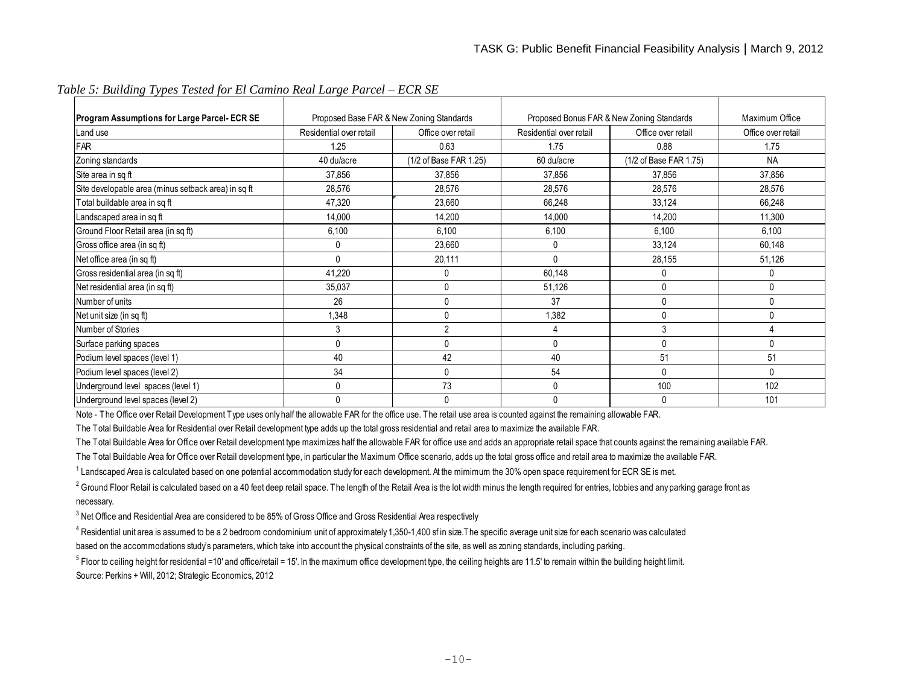| Program Assumptions for Large Parcel- ECR SE        | Proposed Base FAR & New Zoning Standards<br>Proposed Bonus FAR & New Zoning Standards |                        |                         | Maximum Office         |                    |
|-----------------------------------------------------|---------------------------------------------------------------------------------------|------------------------|-------------------------|------------------------|--------------------|
| Land use                                            | Residential over retail                                                               | Office over retail     | Residential over retail | Office over retail     | Office over retail |
| FAR                                                 | 1.25                                                                                  | 0.63                   | 1.75                    | 0.88                   | 1.75               |
| Zoning standards                                    | 40 du/acre                                                                            | (1/2 of Base FAR 1.25) | 60 du/acre              | (1/2 of Base FAR 1.75) | <b>NA</b>          |
| Site area in sq ft                                  | 37,856                                                                                | 37,856                 | 37,856                  | 37,856                 | 37,856             |
| Site developable area (minus setback area) in sq ft | 28,576                                                                                | 28,576                 | 28,576                  | 28,576                 | 28,576             |
| Total buildable area in sq ft                       | 47,320                                                                                | 23,660                 | 66,248                  | 33,124                 | 66,248             |
| Landscaped area in sq ft                            | 14,000                                                                                | 14,200                 | 14,000                  | 14,200                 | 11,300             |
| Ground Floor Retail area (in sq ft)                 | 6,100                                                                                 | 6,100                  | 6,100                   | 6,100                  | 6,100              |
| Gross office area (in sq ft)                        | $\Omega$                                                                              | 23,660                 | 0                       | 33,124                 | 60,148             |
| Net office area (in sq ft)                          | $\Omega$                                                                              | 20,111                 | 0                       | 28,155                 | 51,126             |
| Gross residential area (in sq ft)                   | 41,220                                                                                | 0                      | 60,148                  | 0                      | $\mathbf{0}$       |
| Net residential area (in sq ft)                     | 35,037                                                                                | $\mathbf{0}$           | 51,126                  | 0                      | 0                  |
| Number of units                                     | 26                                                                                    | $\Omega$               | 37                      | $\Omega$               | 0                  |
| Net unit size (in sq ft)                            | 1,348                                                                                 | $\Omega$               | 1,382                   | 0                      | 0                  |
| Number of Stories                                   | 3                                                                                     | $\overline{2}$         | 4                       | 3                      | 4                  |
| Surface parking spaces                              | $\Omega$                                                                              | $\mathbf{0}$           | 0                       | $\Omega$               | 0                  |
| Podium level spaces (level 1)                       | 40                                                                                    | 42                     | 40                      | 51                     | 51                 |
| Podium level spaces (level 2)                       | 34                                                                                    | 0                      | 54                      | $\Omega$               | 0                  |
| Underground level spaces (level 1)                  | $\Omega$                                                                              | 73                     | 0                       | 100                    | 102                |
| Underground level spaces (level 2)                  | $\Omega$                                                                              | 0                      | 0                       | 0                      | 101                |

*Table 5: Building Types Tested for El Camino Real Large Parcel – ECR SE*

Note - The Office over Retail Development Type uses only half the allowable FAR for the office use. The retail use area is counted against the remaining allowable FAR.

The Total Buildable Area for Residential over Retail development type adds up the total gross residential and retail area to maximize the available FAR.

The Total Buildable Area for Office over Retail development type maximizes half the allowable FAR for office use and adds an appropriate retail space that counts against the remaining available FAR.

The Total Buildable Area for Office over Retail development type, in particular the Maximum Office scenario, adds up the total gross office and retail area to maximize the available FAR.

 $^1$  Landscaped Area is calculated based on one potential accommodation study for each development. At the mimimum the 30% open space requirement for ECR SE is met.

 $^2$  Ground Floor Retail is calculated based on a 40 feet deep retail space. The length of the Retail Area is the lot width minus the length required for entries, lobbies and any parking garage front as necessary.

 $^3$  Net Office and Residential Area are considered to be 85% of Gross Office and Gross Residential Area respectively

 $^4$  Residential unit area is assumed to be a 2 bedroom condominium unit of approximately 1,350-1,400 sf in size.The specific average unit size for each scenario was calculated based on the accommodations study's parameters, which take into account the physical constraints of the site, as well as zoning standards, including parking.

 $^5$  Floor to ceiling height for residential =10' and office/retail = 15'. In the maximum office development type, the ceiling heights are 11.5' to remain within the building height limit. Source: Perkins + Will, 2012; Strategic Economics, 2012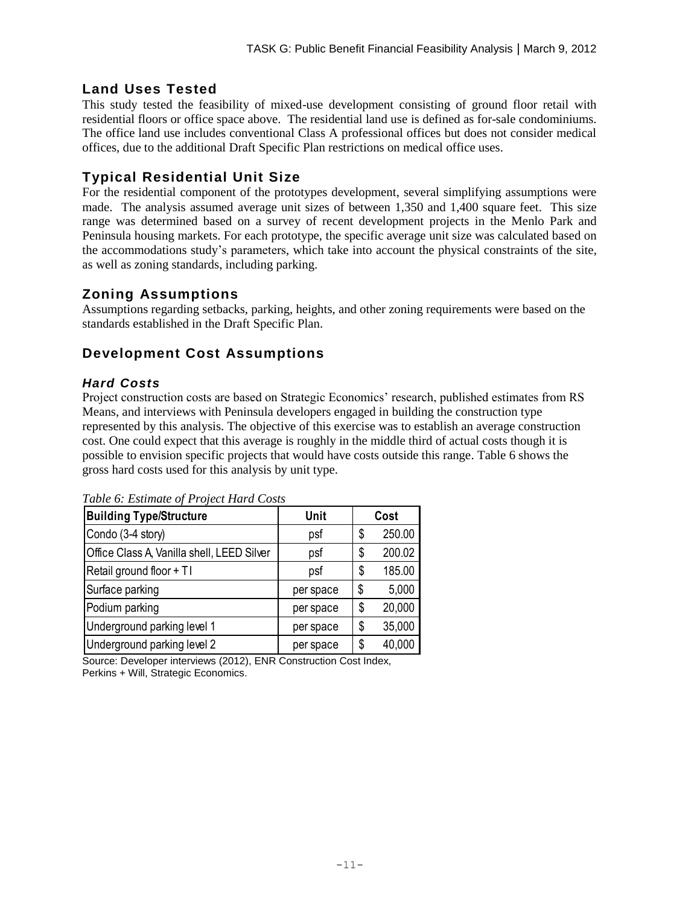## **Land Uses Tested**

This study tested the feasibility of mixed-use development consisting of ground floor retail with residential floors or office space above. The residential land use is defined as for-sale condominiums. The office land use includes conventional Class A professional offices but does not consider medical offices, due to the additional Draft Specific Plan restrictions on medical office uses.

## **Typical Residential Unit Size**

For the residential component of the prototypes development, several simplifying assumptions were made. The analysis assumed average unit sizes of between 1,350 and 1,400 square feet. This size range was determined based on a survey of recent development projects in the Menlo Park and Peninsula housing markets. For each prototype, the specific average unit size was calculated based on the accommodations study's parameters, which take into account the physical constraints of the site, as well as zoning standards, including parking.

## **Zoning Assumptions**

Assumptions regarding setbacks, parking, heights, and other zoning requirements were based on the standards established in the Draft Specific Plan.

# **Development Cost Assumptions**

### *Hard Costs*

Project construction costs are based on Strategic Economics' research, published estimates from RS Means, and interviews with Peninsula developers engaged in building the construction type represented by this analysis. The objective of this exercise was to establish an average construction cost. One could expect that this average is roughly in the middle third of actual costs though it is possible to envision specific projects that would have costs outside this range. Table 6 shows the gross hard costs used for this analysis by unit type.

| <b>Building Type/Structure</b>             | Unit      | Cost         |
|--------------------------------------------|-----------|--------------|
| Condo (3-4 story)                          | psf       | \$<br>250.00 |
| Office Class A, Vanilla shell, LEED Silver | psf       | \$<br>200.02 |
| Retail ground floor + TI                   | psf       | \$<br>185.00 |
| Surface parking                            | per space | \$<br>5,000  |
| Podium parking                             | per space | \$<br>20,000 |
| Underground parking level 1                | per space | \$<br>35,000 |
| Underground parking level 2                | per space | \$<br>40,000 |

*Table 6: Estimate of Project Hard Costs*

Source: Developer interviews (2012), ENR Construction Cost Index, Perkins + Will, Strategic Economics.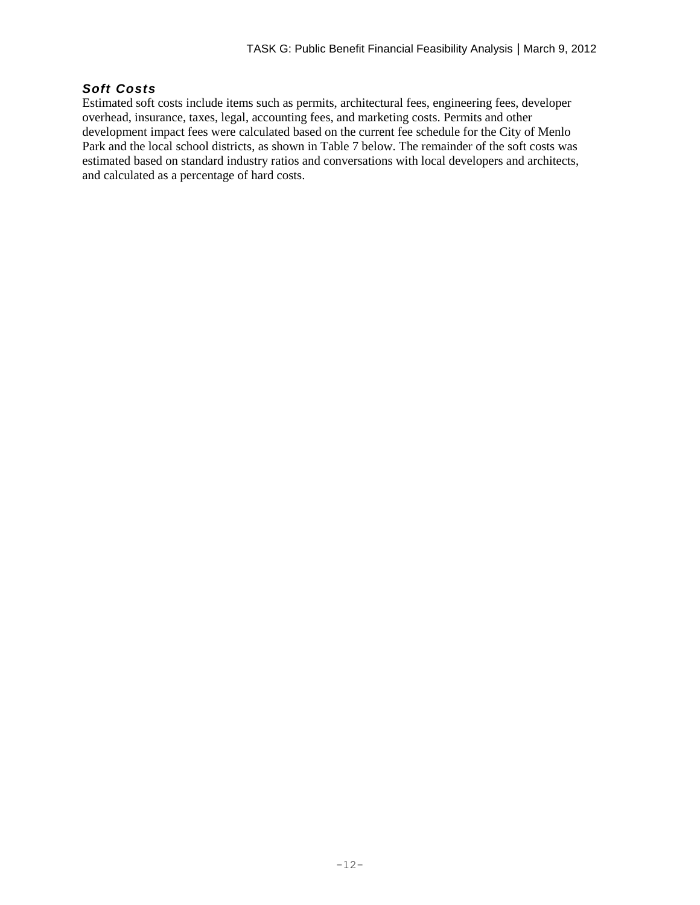#### *Soft Costs*

Estimated soft costs include items such as permits, architectural fees, engineering fees, developer overhead, insurance, taxes, legal, accounting fees, and marketing costs. Permits and other development impact fees were calculated based on the current fee schedule for the City of Menlo Park and the local school districts, as shown in Table 7 below. The remainder of the soft costs was estimated based on standard industry ratios and conversations with local developers and architects, and calculated as a percentage of hard costs.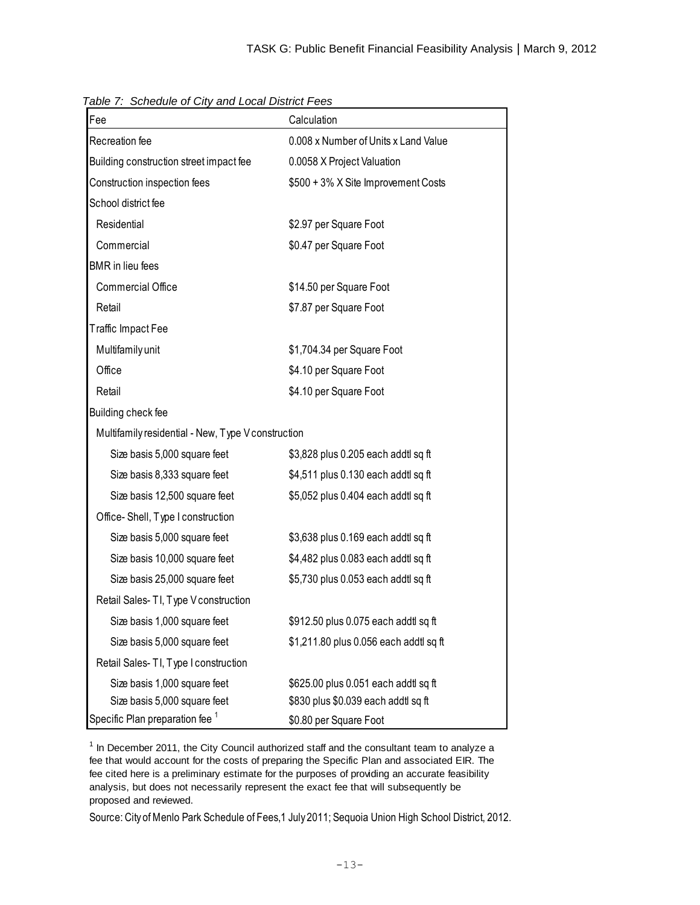| Fee                                                | Calculation                            |
|----------------------------------------------------|----------------------------------------|
| Recreation fee                                     | 0.008 x Number of Units x Land Value   |
| Building construction street impact fee            | 0.0058 X Project Valuation             |
| Construction inspection fees                       | \$500 + 3% X Site Improvement Costs    |
| School district fee                                |                                        |
| Residential                                        | \$2.97 per Square Foot                 |
| Commercial                                         | \$0.47 per Square Foot                 |
| <b>BMR</b> in lieu fees                            |                                        |
| <b>Commercial Office</b>                           | \$14.50 per Square Foot                |
| Retail                                             | \$7.87 per Square Foot                 |
| Traffic Impact Fee                                 |                                        |
| Multifamily unit                                   | \$1,704.34 per Square Foot             |
| Office                                             | \$4.10 per Square Foot                 |
| Retail                                             | \$4.10 per Square Foot                 |
| Building check fee                                 |                                        |
| Multifamily residential - New, Type V construction |                                        |
| Size basis 5,000 square feet                       | \$3,828 plus 0.205 each addtl sq ft    |
| Size basis 8,333 square feet                       | \$4,511 plus 0.130 each addtl sq ft    |
| Size basis 12,500 square feet                      | \$5,052 plus 0.404 each addtl sq ft    |
| Office-Shell, Type I construction                  |                                        |
| Size basis 5,000 square feet                       | \$3,638 plus 0.169 each addtl sq ft    |
| Size basis 10,000 square feet                      | \$4,482 plus 0.083 each addtl sq ft    |
| Size basis 25,000 square feet                      | \$5,730 plus 0.053 each addtl sq ft    |
| Retail Sales- TI, Type V construction              |                                        |
| Size basis 1,000 square feet                       | \$912.50 plus 0.075 each addtl sq ft   |
| Size basis 5,000 square feet                       | \$1,211.80 plus 0.056 each addtl sq ft |
| Retail Sales- TI, Type I construction              |                                        |
| Size basis 1,000 square feet                       | \$625.00 plus 0.051 each addtl sq ft   |
| Size basis 5,000 square feet                       | \$830 plus \$0.039 each addtl sq ft    |
| Specific Plan preparation fee <sup>1</sup>         | \$0.80 per Square Foot                 |

*Table 7: Schedule of City and Local District Fees*

 $1$  In December 2011, the City Council authorized staff and the consultant team to analyze a fee that would account for the costs of preparing the Specific Plan and associated EIR. The fee cited here is a preliminary estimate for the purposes of providing an accurate feasibility analysis, but does not necessarily represent the exact fee that will subsequently be proposed and reviewed.

Source: City of Menlo Park Schedule of Fees,1 July 2011; Sequoia Union High School District, 2012.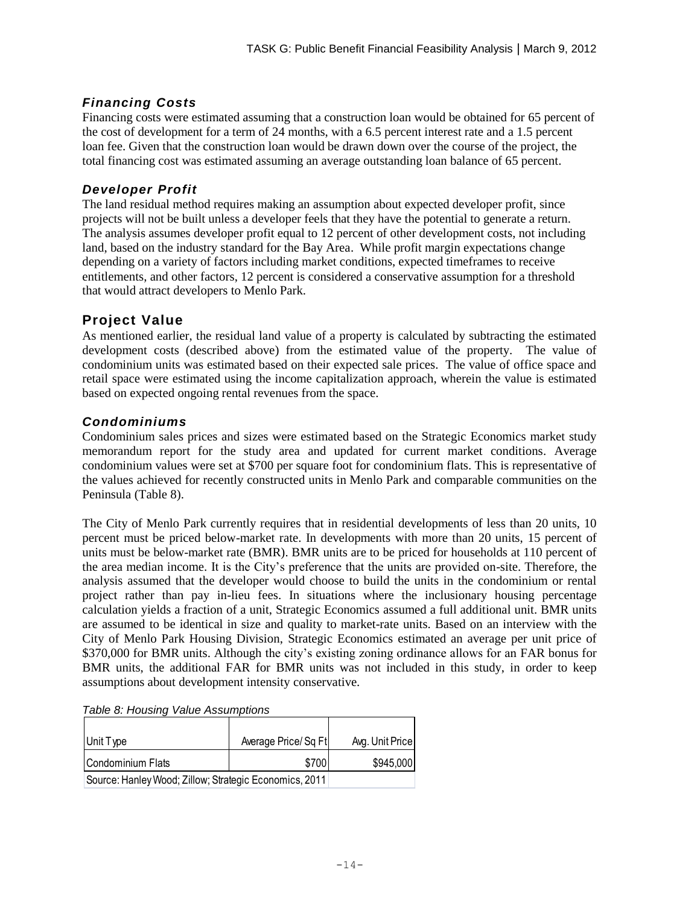## *Financing Costs*

Financing costs were estimated assuming that a construction loan would be obtained for 65 percent of the cost of development for a term of 24 months, with a 6.5 percent interest rate and a 1.5 percent loan fee. Given that the construction loan would be drawn down over the course of the project, the total financing cost was estimated assuming an average outstanding loan balance of 65 percent.

### *Developer Profit*

The land residual method requires making an assumption about expected developer profit, since projects will not be built unless a developer feels that they have the potential to generate a return. The analysis assumes developer profit equal to 12 percent of other development costs, not including land, based on the industry standard for the Bay Area. While profit margin expectations change depending on a variety of factors including market conditions, expected timeframes to receive entitlements, and other factors, 12 percent is considered a conservative assumption for a threshold that would attract developers to Menlo Park.

### **Project Value**

As mentioned earlier, the residual land value of a property is calculated by subtracting the estimated development costs (described above) from the estimated value of the property. The value of condominium units was estimated based on their expected sale prices. The value of office space and retail space were estimated using the income capitalization approach, wherein the value is estimated based on expected ongoing rental revenues from the space.

#### *Condominiums*

Condominium sales prices and sizes were estimated based on the Strategic Economics market study memorandum report for the study area and updated for current market conditions. Average condominium values were set at \$700 per square foot for condominium flats. This is representative of the values achieved for recently constructed units in Menlo Park and comparable communities on the Peninsula (Table 8).

The City of Menlo Park currently requires that in residential developments of less than 20 units, 10 percent must be priced below-market rate. In developments with more than 20 units, 15 percent of units must be below-market rate (BMR). BMR units are to be priced for households at 110 percent of the area median income. It is the City's preference that the units are provided on-site. Therefore, the analysis assumed that the developer would choose to build the units in the condominium or rental project rather than pay in-lieu fees. In situations where the inclusionary housing percentage calculation yields a fraction of a unit, Strategic Economics assumed a full additional unit. BMR units are assumed to be identical in size and quality to market-rate units. Based on an interview with the City of Menlo Park Housing Division, Strategic Economics estimated an average per unit price of \$370,000 for BMR units. Although the city's existing zoning ordinance allows for an FAR bonus for BMR units, the additional FAR for BMR units was not included in this study, in order to keep assumptions about development intensity conservative.

| Unit Type                                              | Average Price/Sq Ft | Avg. Unit Price |
|--------------------------------------------------------|---------------------|-----------------|
| Condominium Flats                                      | \$700               | \$945,000       |
| Source: Hanley Wood; Zillow; Strategic Economics, 2011 |                     |                 |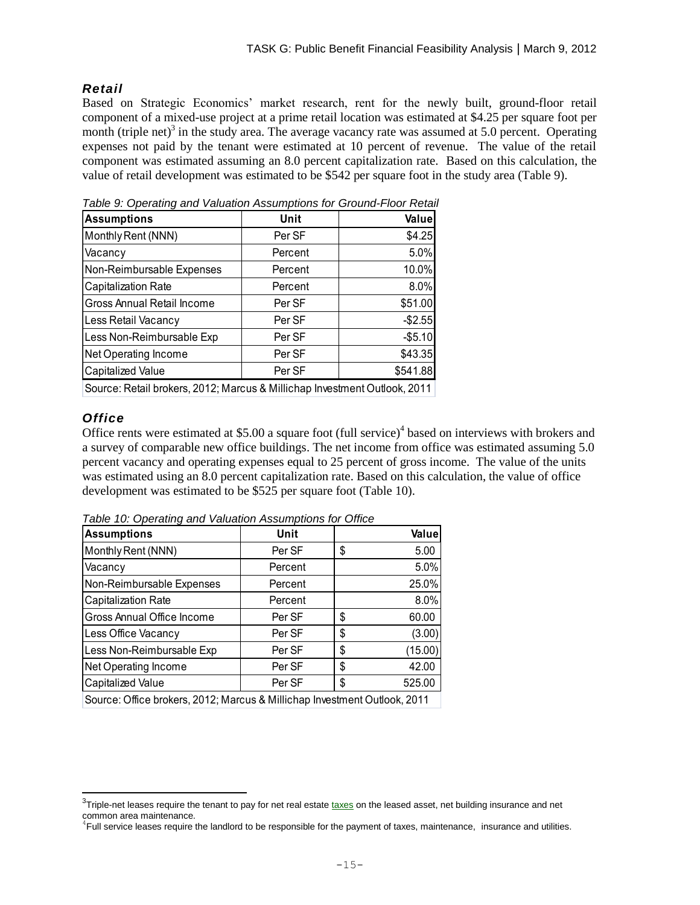#### *Retail*

Based on Strategic Economics' market research, rent for the newly built, ground-floor retail component of a mixed-use project at a prime retail location was estimated at \$4.25 per square foot per month (triple net)<sup>3</sup> in the study area. The average vacancy rate was assumed at 5.0 percent. Operating expenses not paid by the tenant were estimated at 10 percent of revenue. The value of the retail component was estimated assuming an 8.0 percent capitalization rate. Based on this calculation, the value of retail development was estimated to be \$542 per square foot in the study area (Table 9).

| rable 9. Operating and valuation Assumptions for Ground-Floor Netali      |         |          |  |  |
|---------------------------------------------------------------------------|---------|----------|--|--|
| <b>Assumptions</b>                                                        | Unit    | Value    |  |  |
| Monthly Rent (NNN)                                                        | Per SF  | \$4.25   |  |  |
| Vacancy                                                                   | Percent | 5.0%     |  |  |
| Non-Reimbursable Expenses                                                 | Percent | 10.0%    |  |  |
| Capitalization Rate                                                       | Percent | 8.0%     |  |  |
| Gross Annual Retail Income                                                | Per SF  | \$51.00  |  |  |
| Less Retail Vacancy                                                       | Per SF  | $-$2.55$ |  |  |
| Less Non-Reimbursable Exp                                                 | Per SF  | $-$5.10$ |  |  |
| Net Operating Income                                                      | Per SF  | \$43.35  |  |  |
| Capitalized Value                                                         | Per SF  | \$541.88 |  |  |
| Course: Detail brokers, 2012: Mercus & Millieben Investment Outleak, 2011 |         |          |  |  |

*Table 9: Operating and Valuation Assumptions for Ground-Floor Retail*

# Source: Retail brokers, 2012; Marcus & Millichap Investment Outlook, 2011

#### *Office*

l

Office rents were estimated at \$5.00 a square foot  $(full service)^4$  based on interviews with brokers and a survey of comparable new office buildings. The net income from office was estimated assuming 5.0 percent vacancy and operating expenses equal to 25 percent of gross income. The value of the units was estimated using an 8.0 percent capitalization rate. Based on this calculation, the value of office development was estimated to be \$525 per square foot (Table 10).

| <b>Assumptions</b>                                                           | Unit    | Value         |
|------------------------------------------------------------------------------|---------|---------------|
| Monthly Rent (NNN)                                                           | Per SF  | \$<br>5.00    |
| Vacancy                                                                      | Percent | 5.0%          |
| Non-Reimbursable Expenses                                                    | Percent | 25.0%         |
| Capitalization Rate                                                          | Percent | 8.0%          |
| Gross Annual Office Income                                                   | Per SF  | \$<br>60.00   |
| Less Office Vacancy                                                          | Per SF  | \$<br>(3.00)  |
| Less Non-Reimbursable Exp                                                    | Per SF  | \$<br>(15.00) |
| Net Operating Income                                                         | Per SF  | \$<br>42.00   |
| <b>Capitalized Value</b>                                                     | Per SF  | \$<br>525.00  |
| Course: Office brokers, 2010; Moreus, 9, Milliabers Investment Outland, 2014 |         |               |

*Table 10: Operating and Valuation Assumptions for Office*

Source: Office brokers, 2012; Marcus & Millichap Investment Outlook, 2011

 $^3$ Triple-net leases require the tenant to pay for net real estate [taxes](http://www.investopedia.com/terms/n/netnetnet.asp) on the leased asset, net building insurance and net common area maintenance.

<sup>4</sup> Full service leases require the landlord to be responsible for the payment of taxes, maintenance, insurance and utilities.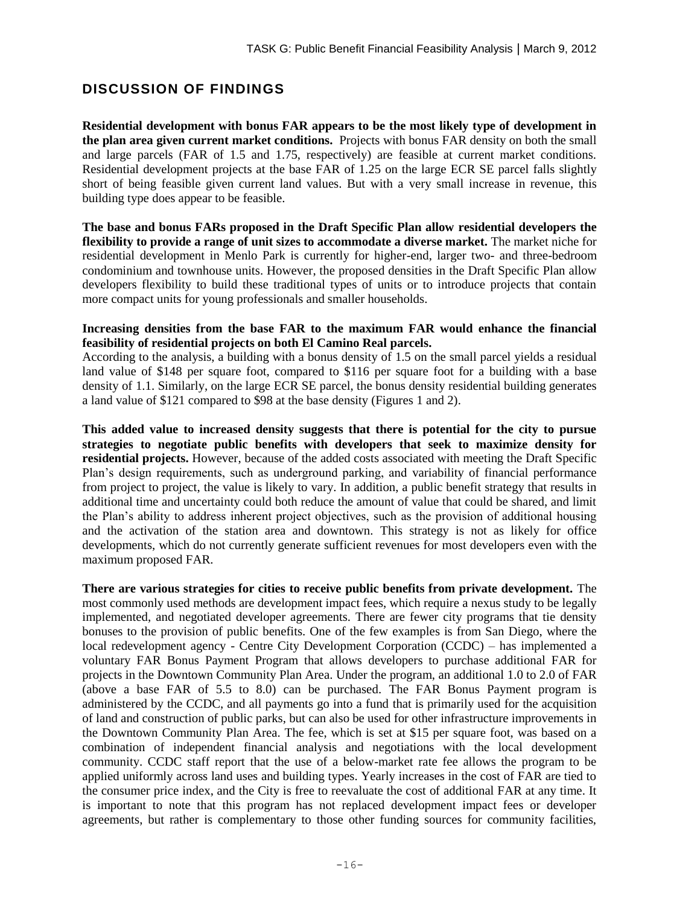## **DISCUSSION OF FINDINGS**

**Residential development with bonus FAR appears to be the most likely type of development in the plan area given current market conditions.** Projects with bonus FAR density on both the small and large parcels (FAR of 1.5 and 1.75, respectively) are feasible at current market conditions. Residential development projects at the base FAR of 1.25 on the large ECR SE parcel falls slightly short of being feasible given current land values. But with a very small increase in revenue, this building type does appear to be feasible.

**The base and bonus FARs proposed in the Draft Specific Plan allow residential developers the flexibility to provide a range of unit sizes to accommodate a diverse market.** The market niche for residential development in Menlo Park is currently for higher-end, larger two- and three-bedroom condominium and townhouse units. However, the proposed densities in the Draft Specific Plan allow developers flexibility to build these traditional types of units or to introduce projects that contain more compact units for young professionals and smaller households.

#### **Increasing densities from the base FAR to the maximum FAR would enhance the financial feasibility of residential projects on both El Camino Real parcels.**

According to the analysis, a building with a bonus density of 1.5 on the small parcel yields a residual land value of \$148 per square foot, compared to \$116 per square foot for a building with a base density of 1.1. Similarly, on the large ECR SE parcel, the bonus density residential building generates a land value of \$121 compared to \$98 at the base density (Figures 1 and 2).

**This added value to increased density suggests that there is potential for the city to pursue strategies to negotiate public benefits with developers that seek to maximize density for residential projects.** However, because of the added costs associated with meeting the Draft Specific Plan's design requirements, such as underground parking, and variability of financial performance from project to project, the value is likely to vary. In addition, a public benefit strategy that results in additional time and uncertainty could both reduce the amount of value that could be shared, and limit the Plan's ability to address inherent project objectives, such as the provision of additional housing and the activation of the station area and downtown. This strategy is not as likely for office developments, which do not currently generate sufficient revenues for most developers even with the maximum proposed FAR.

**There are various strategies for cities to receive public benefits from private development.** The most commonly used methods are development impact fees, which require a nexus study to be legally implemented, and negotiated developer agreements. There are fewer city programs that tie density bonuses to the provision of public benefits. One of the few examples is from San Diego, where the local redevelopment agency - Centre City Development Corporation (CCDC) – has implemented a voluntary FAR Bonus Payment Program that allows developers to purchase additional FAR for projects in the Downtown Community Plan Area. Under the program, an additional 1.0 to 2.0 of FAR (above a base FAR of 5.5 to 8.0) can be purchased. The FAR Bonus Payment program is administered by the CCDC, and all payments go into a fund that is primarily used for the acquisition of land and construction of public parks, but can also be used for other infrastructure improvements in the Downtown Community Plan Area. The fee, which is set at \$15 per square foot, was based on a combination of independent financial analysis and negotiations with the local development community. CCDC staff report that the use of a below-market rate fee allows the program to be applied uniformly across land uses and building types. Yearly increases in the cost of FAR are tied to the consumer price index, and the City is free to reevaluate the cost of additional FAR at any time. It is important to note that this program has not replaced development impact fees or developer agreements, but rather is complementary to those other funding sources for community facilities,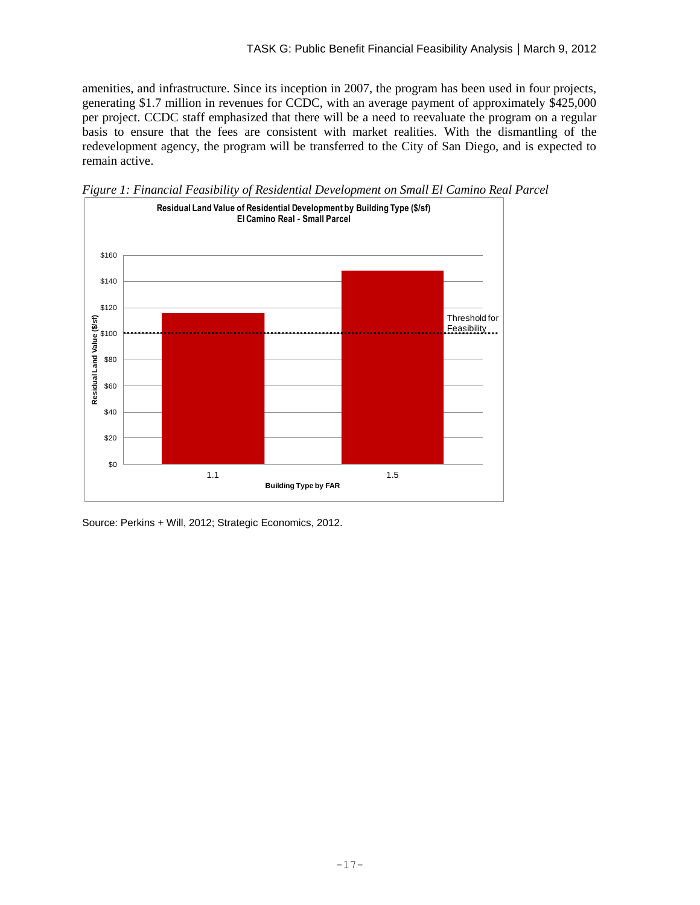amenities, and infrastructure. Since its inception in 2007, the program has been used in four projects, generating \$1.7 million in revenues for CCDC, with an average payment of approximately \$425,000 per project. CCDC staff emphasized that there will be a need to reevaluate the program on a regular basis to ensure that the fees are consistent with market realities. With the dismantling of the redevelopment agency, the program will be transferred to the City of San Diego, and is expected to remain active.



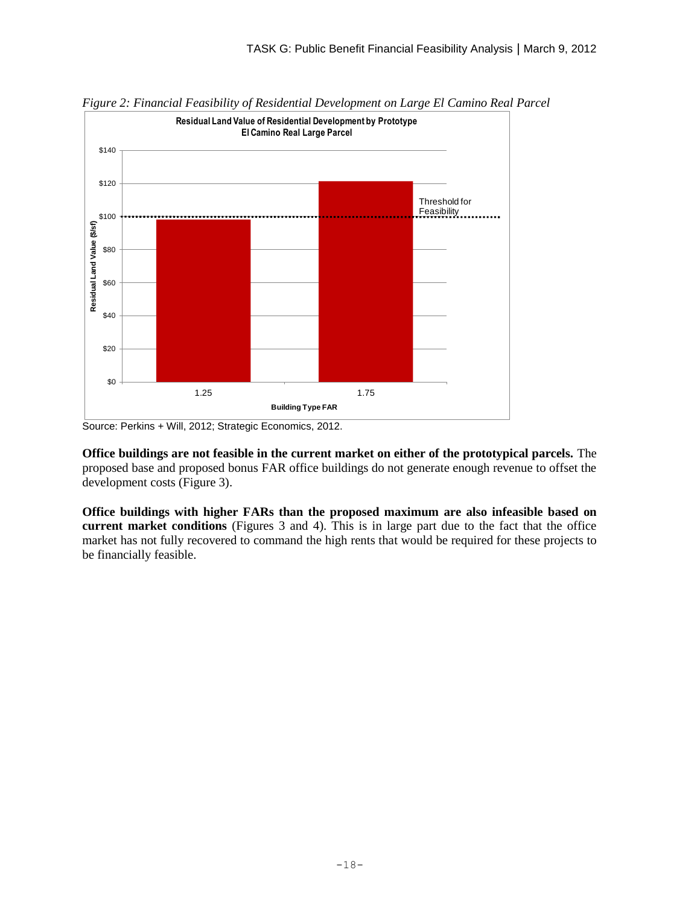

*Figure 2: Financial Feasibility of Residential Development on Large El Camino Real Parcel*

**Office buildings are not feasible in the current market on either of the prototypical parcels.** The proposed base and proposed bonus FAR office buildings do not generate enough revenue to offset the development costs (Figure 3).

**Office buildings with higher FARs than the proposed maximum are also infeasible based on current market conditions** (Figures 3 and 4). This is in large part due to the fact that the office market has not fully recovered to command the high rents that would be required for these projects to be financially feasible.

Source: Perkins + Will, 2012; Strategic Economics, 2012.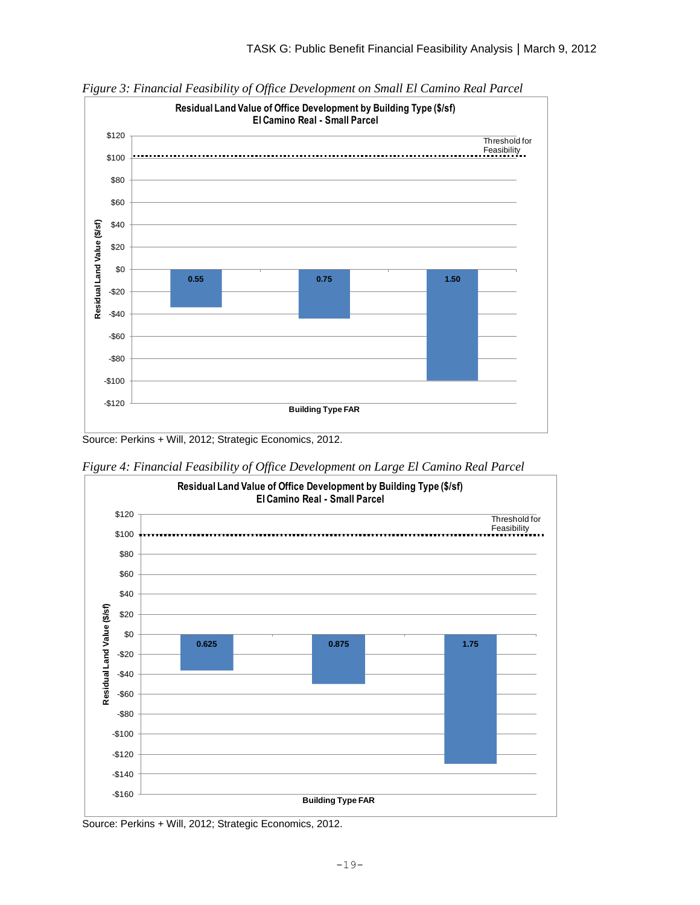

*Figure 3: Financial Feasibility of Office Development on Small El Camino Real Parcel*

Source: Perkins + Will, 2012; Strategic Economics, 2012.



*Figure 4: Financial Feasibility of Office Development on Large El Camino Real Parcel*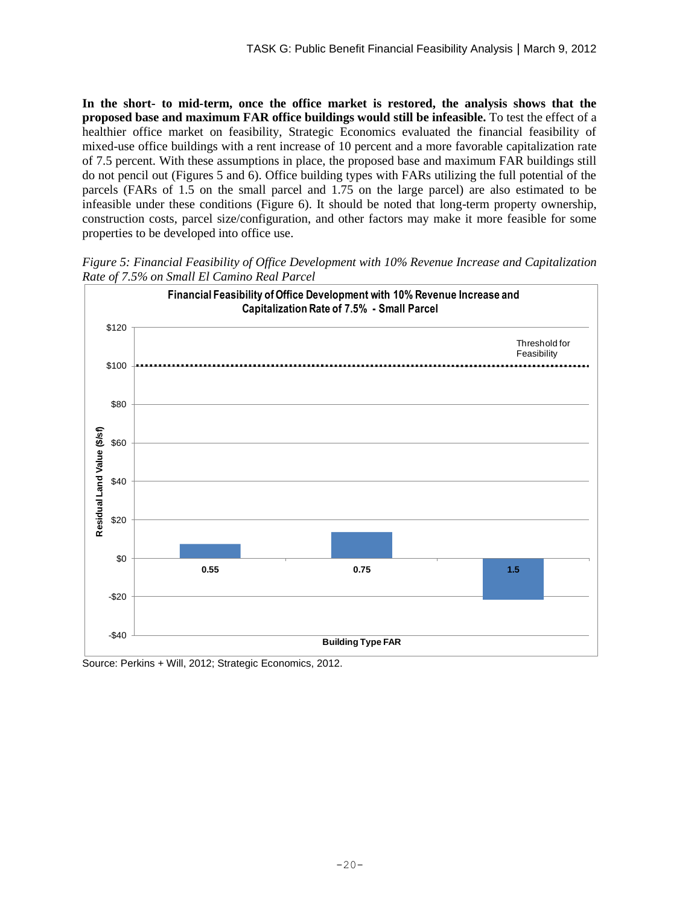**In the short- to mid-term, once the office market is restored, the analysis shows that the proposed base and maximum FAR office buildings would still be infeasible.** To test the effect of a healthier office market on feasibility, Strategic Economics evaluated the financial feasibility of mixed-use office buildings with a rent increase of 10 percent and a more favorable capitalization rate of 7.5 percent. With these assumptions in place, the proposed base and maximum FAR buildings still do not pencil out (Figures 5 and 6). Office building types with FARs utilizing the full potential of the parcels (FARs of 1.5 on the small parcel and 1.75 on the large parcel) are also estimated to be infeasible under these conditions (Figure 6). It should be noted that long-term property ownership, construction costs, parcel size/configuration, and other factors may make it more feasible for some properties to be developed into office use.

*Figure 5: Financial Feasibility of Office Development with 10% Revenue Increase and Capitalization Rate of 7.5% on Small El Camino Real Parcel*

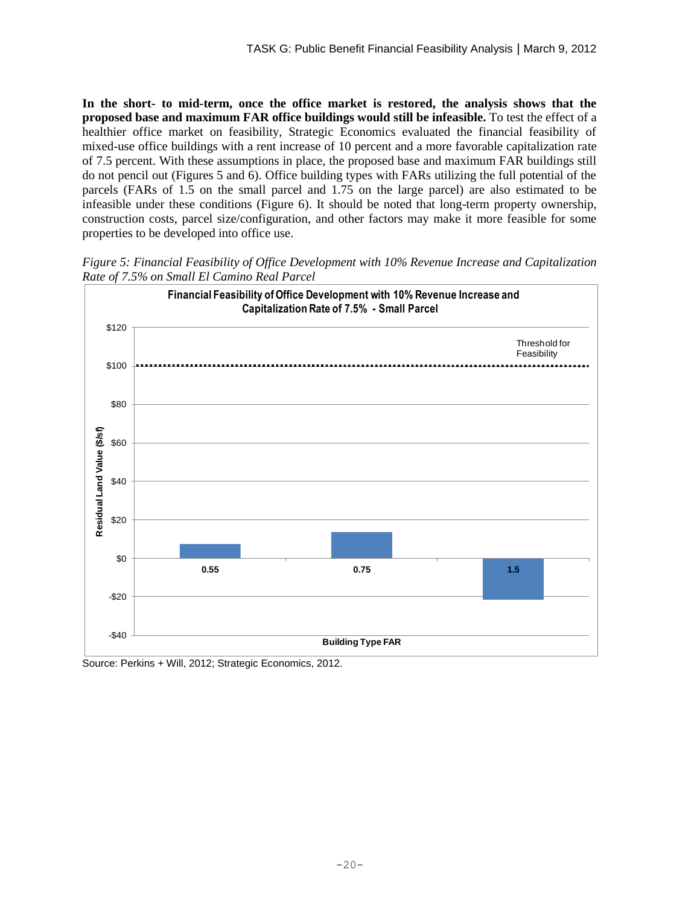*Figure 6: Financial Feasibility of Office Development with 10% Revenue Increase and Capitalization Rate of 7.5% on Large El Camino Real Parcel*



Source: Perkins + Will, 2012; Strategic Economics, 2012.

#### **Ground floor retail on El Camino Real is feasible to build as long as the retail location is strong enough to support top-of-the-market rents.**

The retail component of a mixed-use residential or office building can be a revenue generator, as long as the retail store front can be leased to a high-value tenant willing to pay the rents needed to offset the cost of building the space and associated parking. It is likely that developers will choose to build retail on the ground-floor in locations that are attractive to high-performing retailers. It is not likely that the entire El Camino Real corridor can support mixed-use development with ground-floor retail.

#### **Development costs escalate along with revenues as densities increase.**

Though higher density projects can generate more revenues, they are also more costly to build due largely to the higher cost of underground parking relative to podium or surface parking (Figures 7 and 8). This holds true for both residential and office projects.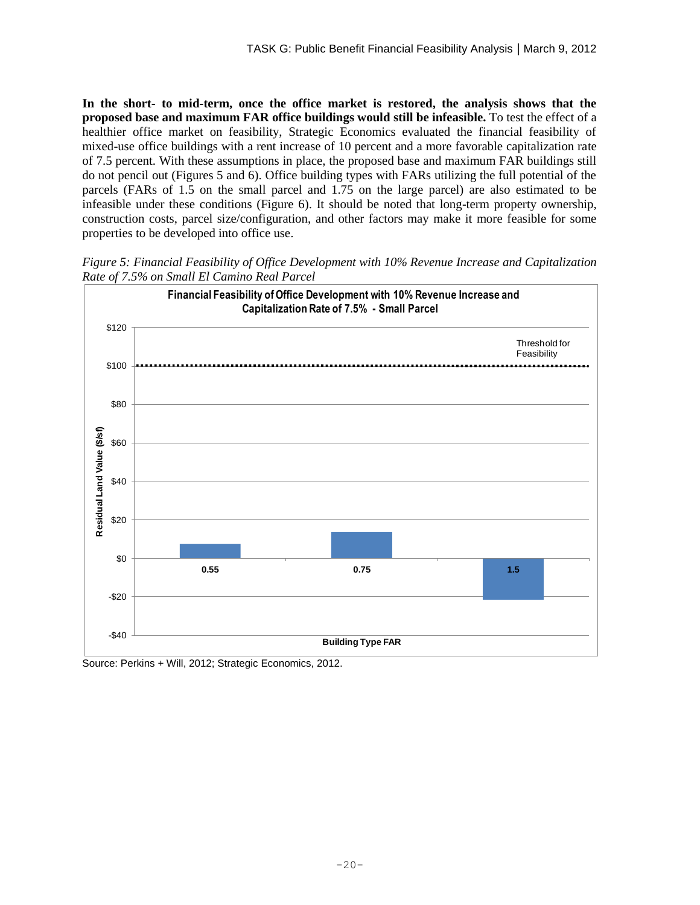

*Figure 7: Revenues and Costs from Residential Development on Small El Camino Real Parcel*

Source: Perkins + Will, 2012; Strategic Economics, 2012.



*Figure 8: Revenues and Costs from Residential Development on Large El Camino Real Parcel*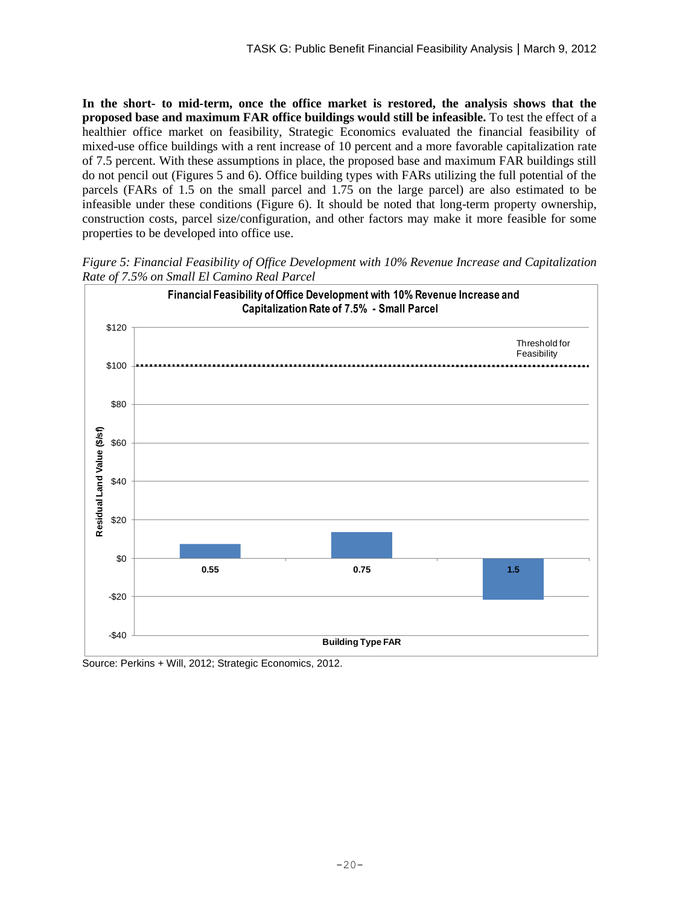## **REFERENCES**

The following sources were used in the analysis:

- Marcus & Millichap Investment Outlook 2011
- City of Menlo Park Schedule of Fees, 2011
- Douglas Frederick, City of Menlo Park Housing Division, 2012
- Sequoia Union High School District, 2012
- Zillow.com, 2012
- Case-Shiller Home Price Index, 2011
- Hanley-Wood Market Intelligence, 2011
- CBRE broker reports, 2011
- ENR Construction Cost Index, 2011
- RealFacts/Meyers Rental Trends, 2011
- Brad Richter, San Diego Centre City Development Corporation, 2012
- Mark Korsun, Cassidy Turley
- Howard E. Dallmar, Cornish and Carey
- Curtis Leigh, Hunter Properties
- James Gaglione, Terranomics
- Brad Wiblin, BRIDGE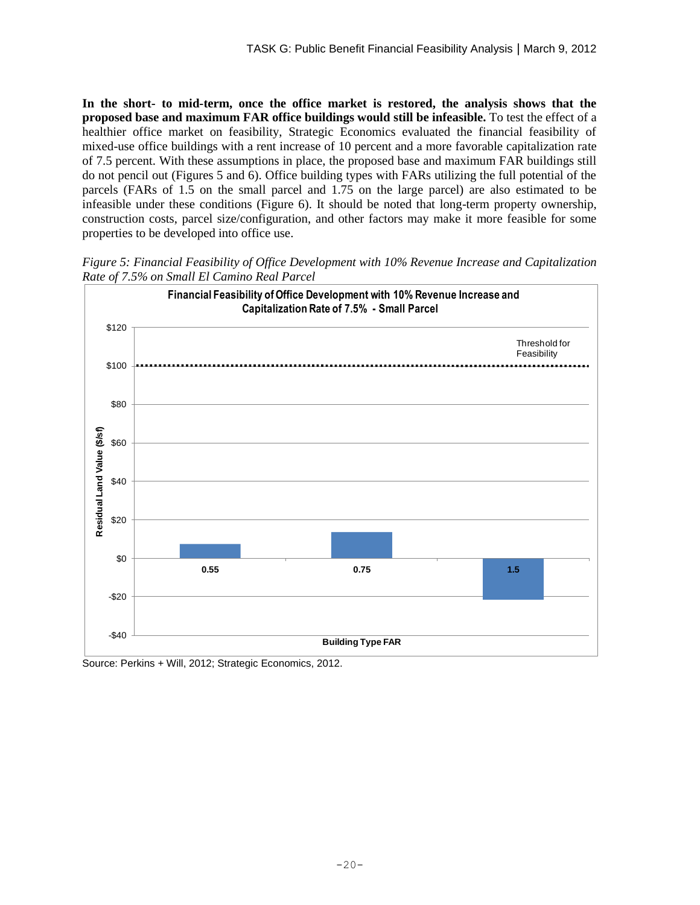# **APPENDIX A: SITE ACCOMMODATION STUDIES**